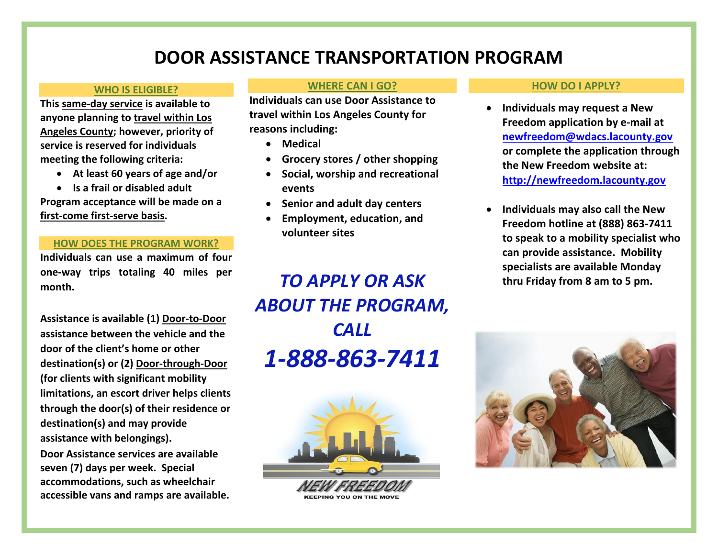# **DOOR ASSISTANCE TRANSPORTATION PROGRAM**

#### **WHO IS ELIGIBLE?**

**This same-day service is available to anyone planning to travel within Los Angeles County; however, priority of service is reserved for individuals meeting the following criteria:** 

- **At least 60 years of age and/or**
- **Is a frail or disabled adult**

**Program acceptance will be made on a first-come first-serve basis.**

## **HOW DOES THE PROGRAM WORK?**

**Individuals can use a maximum of four one-way trips totaling 40 miles per month.** 

**Assistance is available (1) Door-to-Door assistance between the vehicle and the door of the client's home or other destination(s) or (2) Door-through-Door (for clients with significant mobility limitations, an escort driver helps clients through the door(s) of their residence or destination(s) and may provide assistance with belongings). Door Assistance services are available seven (7) days per week. Special accommodations, such as wheelchair** 

**accessible vans and ramps are available.** 

#### **WHERE CAN I GO?**

**Individuals can use Door Assistance to travel within Los Angeles County for reasons including:**

- **Medical**
- **Grocery stores / other shopping**
- **Social, worship and recreational events**
- **Senior and adult day centers**
- **Employment, education, and volunteer sites**

### **HOW DO I APPLY?**

- **Individuals may request a New Freedom application by e-mail at [newfreedom@wdacs.lacounty.gov](mailto:newfreedom@wdacs.lacounty.gov) or complete the application through the New Freedom website at: [http://newfreedom.lacounty.gov](http://newfreedom.lacounty.gov/)**
- **Individuals may also call the New Freedom hotline at (888) 863-7411 to speak to a mobility specialist who can provide assistance. Mobility specialists are available Monday thru Friday from 8 am to 5 pm.**